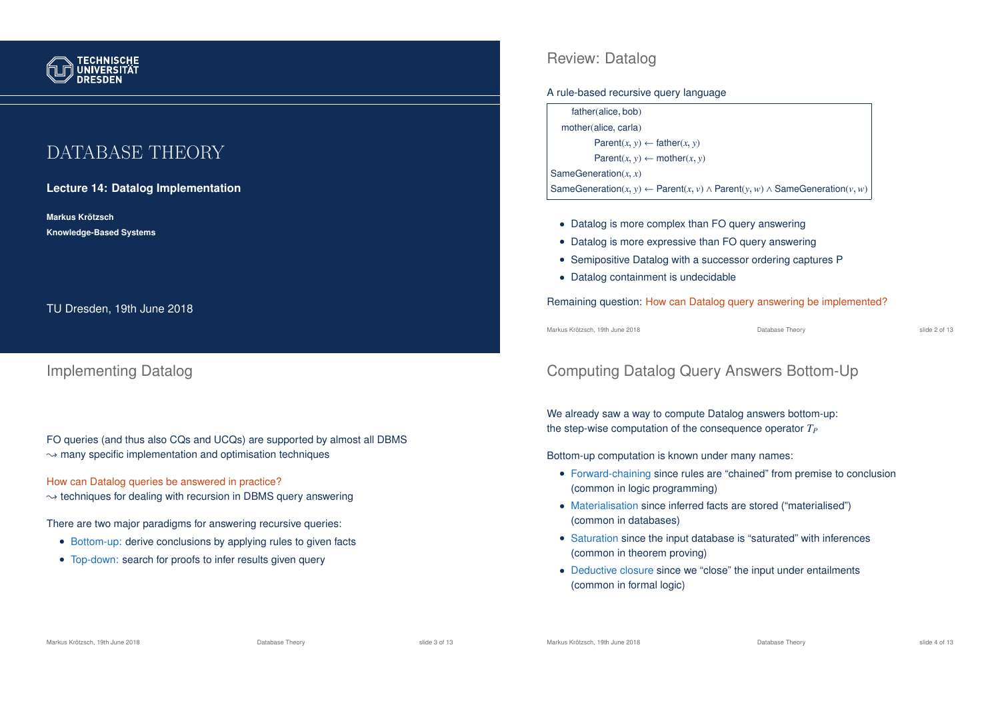

# DATABASE THEORY

#### **Lecture 14: Datalog Implementation**

**Markus Krotzsch ¨ Knowledge-Based Systems**

TU Dresden, 19th June 2018

### Implementing Datalog

FO queries (and thus also CQs and UCQs) are supported by almost all DBMS  $\rightarrow$  many specific implementation and optimisation techniques

How can Datalog queries be answered in practice?

 $\rightarrow$  techniques for dealing with recursion in DBMS query answering

There are two major paradigms for answering recursive queries:

- Bottom-up: derive conclusions by applying rules to given facts
- Top-down: search for proofs to infer results given query

# Review: Datalog

A rule-based recursive query language

| father(alice, bob)                                                                                 |
|----------------------------------------------------------------------------------------------------|
| mother(alice, carla)                                                                               |
| Parent $(x, y) \leftarrow$ father $(x, y)$                                                         |
| Parent $(x, y) \leftarrow \text{mother}(x, y)$                                                     |
| SameGeneration $(x, x)$                                                                            |
| SameGeneration(x, y) $\leftarrow$ Parent(x, v) $\wedge$ Parent(y, w) $\wedge$ SameGeneration(v, w) |

- Datalog is more complex than FO query answering
- Datalog is more expressive than FO query answering
- Semipositive Datalog with a successor ordering captures P
- Datalog containment is undecidable

#### Remaining question: How can Datalog query answering be implemented?

Markus Krötzsch, 19th June 2018 Database Theory slide 2 of 13

# Computing Datalog Query Answers Bottom-Up

We already saw a way to compute Datalog answers bottom-up: the step-wise computation of the consequence operator *T<sup>P</sup>*

Bottom-up computation is known under many names:

- Forward-chaining since rules are "chained" from premise to conclusion (common in logic programming)
- Materialisation since inferred facts are stored ("materialised") (common in databases)
- Saturation since the input database is "saturated" with inferences (common in theorem proving)
- Deductive closure since we "close" the input under entailments (common in formal logic)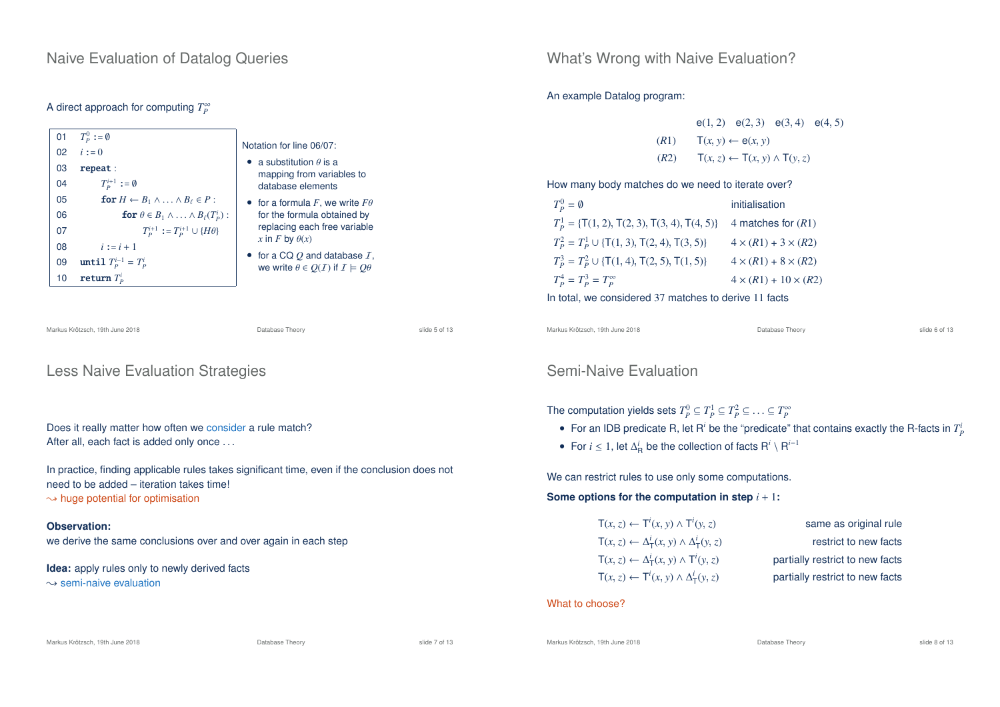## Naive Evaluation of Datalog Queries

### A direct approach for computing  $T_P^{\infty}$



Markus Krötzsch, 19th June 2018 Database Theory slide 5 of 13

# Less Naive Evaluation Strategies

### Does it really matter how often we consider a rule match? After all, each fact is added only once ...

In practice, finding applicable rules takes significant time, even if the conclusion does not need to be added – iteration takes time!  $\rightarrow$  huge potential for optimisation

#### **Observation:**

we derive the same conclusions over and over again in each step

#### **Idea:** apply rules only to newly derived facts

 $\rightarrow$  semi-naive evaluation

What's Wrong with Naive Evaluation?

### An example Datalog program:

|      |                                                                        | $e(1, 2)$ $e(2, 3)$ $e(3, 4)$ $e(4, 5)$ |  |
|------|------------------------------------------------------------------------|-----------------------------------------|--|
| (R1) | $\Gamma(x, y) \leftarrow e(x, y)$                                      |                                         |  |
| (R2) | $\mathsf{T}(x, z) \leftarrow \mathsf{T}(x, y) \wedge \mathsf{T}(y, z)$ |                                         |  |

How many body matches do we need to iterate over?

| $T_p^0 = \emptyset$                                   | initialisation                   |
|-------------------------------------------------------|----------------------------------|
| $T_p^1 = \{T(1, 2), T(2, 3), T(3, 4), T(4, 5)\}\$     | 4 matches for $(R1)$             |
| $T_p^2 = T_p^1 \cup \{T(1, 3), T(2, 4), T(3, 5)\}$    | $4 \times (R1) + 3 \times (R2)$  |
| $T_p^3 = T_p^2 \cup \{T(1, 4), T(2, 5), T(1, 5)\}$    | $4 \times (R1) + 8 \times (R2)$  |
| $T_P^4 = T_P^3 = T_P^{\infty}$                        | $4 \times (R1) + 10 \times (R2)$ |
| In total, we considered 37 matches to derive 11 facts |                                  |

Markus Krötzsch, 19th June 2018 **Database Theory** Database Theory **Slide 6 of 13** Slide 6 of 13

## Semi-Naive Evaluation

The computation yields sets  $T_P^0 \subseteq T_P^1 \subseteq T_P^2 \subseteq \ldots \subseteq T_P^{\infty}$ 

- For an IDB predicate R, let  $R^i$  be the "predicate" that contains exactly the R-facts in  $T_P^i$
- For  $i \leq 1$ , let  $\Delta_R^i$  be the collection of facts  $R^i \setminus R^{i-1}$

We can restrict rules to use only some computations.

#### **Some options for the computation in step** *i* + 1**:**

 $\mathsf{T}(x, z) \leftarrow \mathsf{T}^i(x, y) \wedge \mathsf{T}^i$  $\mathsf{T}(x, z) \leftarrow \Delta^i_\mathsf{T}(x, y) \wedge \Delta^i_\mathsf{T}$  $\mathsf{T}(x, z) \leftarrow \Delta^i_\mathsf{T}(x, y) \wedge \mathsf{T}^i$  $\mathsf{T}(x, z) \leftarrow \mathsf{T}^i(x, y) \wedge \Delta^i_\mathsf{T}$ 

same as original rule restrict to new facts partially restrict to new facts partially restrict to new facts

### What to choose?

Markus Krötzsch, 19th June 2018 **Database Theory** Database Theory **State 3 of 13** and 2018 of 13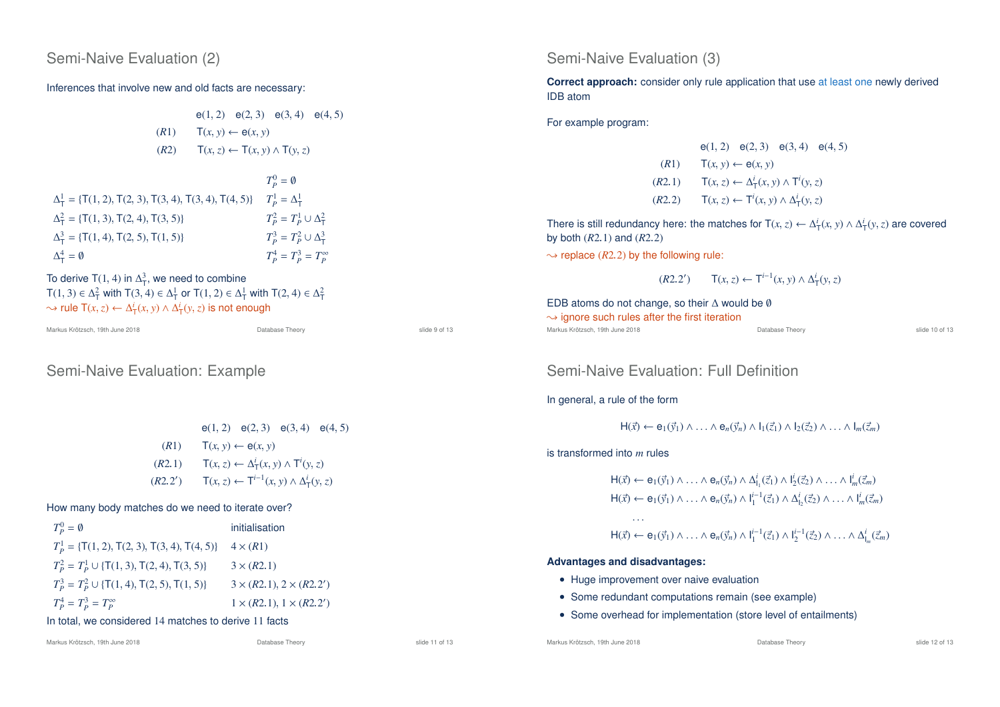# Semi-Naive Evaluation (2)

Inferences that involve new and old facts are necessary:

e(1, 2) e(2, 3) e(3, 4) e(4, 5)  $(T(x, y) \leftarrow e(x, y)$ (*R*2) <sup>T</sup>(*x*,*z*) ← <sup>T</sup>(*x*, *y*) ∧ <sup>T</sup>(*y*,*z*)  $T_P^0 = \emptyset$ 

| $\Delta^1_T = \{T(1, 2), T(2, 3), T(3, 4), T(3, 4), T(4, 5)\}$ $T^1_p = \Delta^1_T$ |                                       |
|-------------------------------------------------------------------------------------|---------------------------------------|
| $\Delta_{\rm T}^2 = \{T(1,3), T(2,4), T(3,5)\}\$                                    | $T_p^2 = T_p^1 \cup \Delta_T^2$       |
| $\Delta_{\rm T}^3$ = {T(1, 4), T(2, 5), T(1, 5)}                                    | $T_p^3 = T_p^2 \cup \Delta_{\rm T}^3$ |
| $\Delta_{\tau}^4 = \emptyset$                                                       | $T_p^4 = T_p^3 = T_p^{\infty}$        |

```
To derive T(1, 4) in \Delta_T^3, we need to combine
T(1, 3) \in \Delta^2_T with T(3, 4) \in \Delta^1_T or T(1, 2) \in \Delta^1_T with T(2, 4) \in \Delta^2_T\rightarrow rule T(x, z) ← \Delta^i<sub>I</sub>(x, y) ∧ \Delta^i<sub>I</sub>(y, z) is not enough
```

| Markus Krötzsch, 19th June 2018 | Database Theory | slide 9 of 13 |
|---------------------------------|-----------------|---------------|
|                                 |                 |               |

### Semi-Naive Evaluation: Example

|         | $e(1, 2)$ $e(2, 3)$ $e(3, 4)$ $e(4, 5)$                    |  |
|---------|------------------------------------------------------------|--|
| (R1)    | $T(x, y) \leftarrow e(x, y)$                               |  |
| (R2.1)  | $T(x, z) \leftarrow \Delta^i_T(x, y) \wedge T^i(y, z)$     |  |
| (R2.2') | $T(x, z) \leftarrow T^{i-1}(x, y) \wedge \Delta_T^i(y, z)$ |  |

#### How many body matches do we need to iterate over?

| $T_p^0 = \emptyset$                                | initialisation                     |
|----------------------------------------------------|------------------------------------|
| $T_p^1 = \{T(1, 2), T(2, 3), T(3, 4), T(4, 5)\}\$  | $4 \times (R1)$                    |
| $T_p^2 = T_p^1 \cup \{T(1, 3), T(2, 4), T(3, 5)\}$ | $3 \times (R2.1)$                  |
| $T_p^3 = T_p^2 \cup \{T(1, 4), T(2, 5), T(1, 5)\}$ | $3 \times (R2.1), 2 \times (R2.2)$ |
| $T_p^4 = T_p^3 = T_p^{\infty}$                     | $1 \times (R2.1), 1 \times (R2.2)$ |

#### In total, we considered 14 matches to derive 11 facts

Markus Krötzsch, 19th June 2018 **Database Theory** Database Theory **Slide 11 of 13** Slide 11 of 13

0 )

0 )

# Semi-Naive Evaluation (3)

**Correct approach:** consider only rule application that use at least one newly derived IDB atom

For example program:

|        | $e(1,2)$ $e(2,3)$ $e(3,4)$ $e(4,5)$                    |  |
|--------|--------------------------------------------------------|--|
| (R1)   | $T(x, y) \leftarrow e(x, y)$                           |  |
| (R2.1) | $T(x, z) \leftarrow \Delta^i_T(x, y) \wedge T^i(y, z)$ |  |
| (R2.2) | $T(x, z) \leftarrow T^i(x, y) \wedge \Delta^i_T(y, z)$ |  |
|        |                                                        |  |

There is still redundancy here: the matches for  $T(x, z) \leftarrow \Delta_T^i(x, y) \wedge \Delta_T^i(y, z)$  are covered by both (*R*2.1) and (*R*2.2)

 $\rightarrow$  replace ( $R2.2$ ) by the following rule:

 $(T(X, z)$  ←  $T^{i-1}(x, y)$  ∧  $\Delta_T^i(y, z)$ 

| EDB atoms do not change, so their $\Delta$ would be $\emptyset$                         |                 |                |  |
|-----------------------------------------------------------------------------------------|-----------------|----------------|--|
| $\rightsquigarrow$ ignore such rules after the first iteration $\overline{\phantom{a}}$ |                 |                |  |
| Markus Krötzsch, 19th June 2018                                                         | Database Theory | slide 10 of 13 |  |

## Semi-Naive Evaluation: Full Definition

In general, a rule of the form

 $H(\vec{x}) \leftarrow e_1(\vec{y}_1) \wedge \ldots \wedge e_n(\vec{y}_n) \wedge l_1(\vec{z}_1) \wedge l_2(\vec{z}_2) \wedge \ldots \wedge l_m(\vec{z}_m)$ 

#### is transformed into *m* rules

$$
H(\vec{x}) \leftarrow e_1(\vec{y}_1) \land \dots \land e_n(\vec{y}_n) \land \Delta_{l_1}^i(\vec{z}_1) \land l_2^i(\vec{z}_2) \land \dots \land l_m^i(\vec{z}_m)
$$
  
\n
$$
H(\vec{x}) \leftarrow e_1(\vec{y}_1) \land \dots \land e_n(\vec{y}_n) \land l_1^{i-1}(\vec{z}_1) \land \Delta_{l_2}^i(\vec{z}_2) \land \dots \land l_m^i(\vec{z}_m)
$$
  
\n...  
\n
$$
H(\vec{x}) \leftarrow e_1(\vec{y}_1) \land \dots \land e_n(\vec{y}_n) \land l_1^{i-1}(\vec{z}_1) \land l_2^{i-1}(\vec{z}_2) \land \dots \land \Delta_{l_m}^i(\vec{z}_m)
$$

#### **Advantages and disadvantages:**

- Huge improvement over naive evaluation
- Some redundant computations remain (see example)
- Some overhead for implementation (store level of entailments)